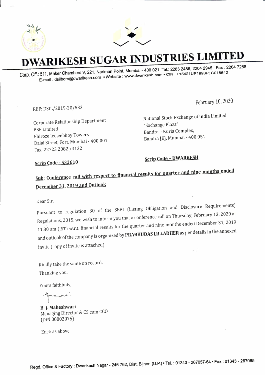



## **DWARIKESH SUGAR INDUSTRIES LIMITED**

**Corp. Off.: 511, Maker Chambers V, 221, Nariman Point, Mumbai-400 021. Tel.: 2283 2486, 2204 2945 Fax: 2204 7288 E-mail: dsilbom@dwarikesh.com •Website: www.dwarikesh.com • CIN:** L **15421 UP1993PLC018642** 

REF: DSIL/2019-20/533

Corporate Relationship Department BSE Limited Phiroze Jeejeebhoy Towers Dalal Street, Fort, Mumbai - 400 001 Fax: 22723 2082 /3132

National Stock Exchange of India Limited "Exchange Plaza" Bandra - Kurla Complex, Bandra [E], Mumbai - 400 051

February 10, 2020

**Scrip Code - 532610** 

**Scrip Code - DWARKESH** 

## **<u>Sub: Conference call with respect to financial results for quarter and nine months ended</u> December 31, 2019 and Outlook**

Dear Sir,

Pursuant to regulation 30 of the SEBI (Listing Obligation and Disclosure Requirements) Regulations, 2015, we wish to inform you that a conference call on Thursday, February 13, 2020 at 11.30 am (1ST) w.r.t. financial results for the quarter and nine months ended December 31, 2019 and outlook of the company is organized by **PRABHUDAS LILLADHER** as per details in the annexed invite (copy of invite is attached).

Kindly take the same on record. Thanking you,

Yours faithfully,

 $-200$ 

**B. J. Maheshwari**  Managing Director & CS cum CCO (DIN 00002075)

Encl: as above